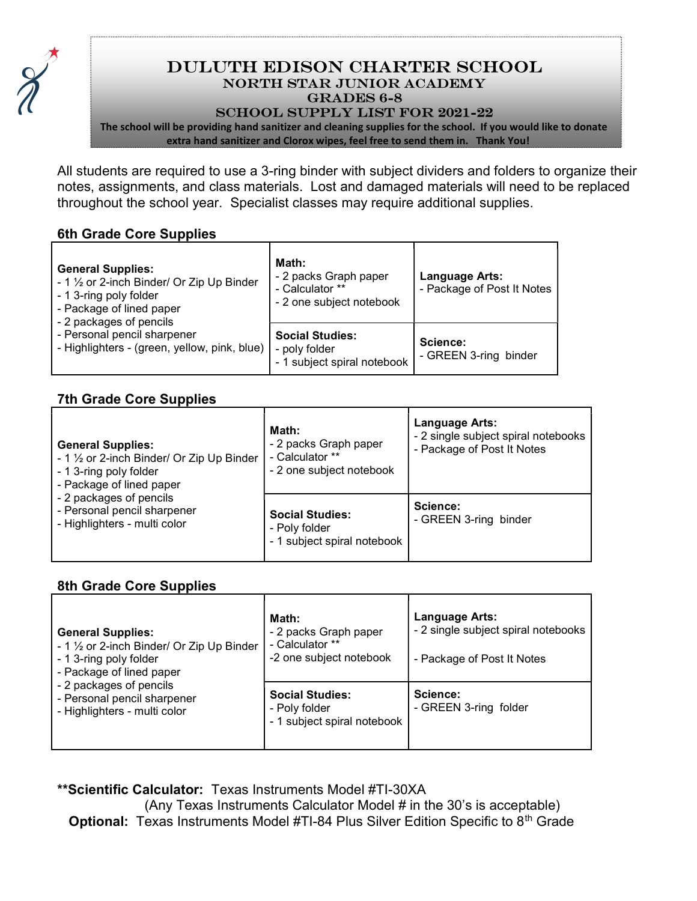

# Duluth Edison Charter School NORTH STAR JUNIOR ACADEMY GRADES 6-8

#### School Supply List for 2021-22

The school will be providing hand sanitizer and cleaning supplies for the school. If you would like to donate extra hand sanitizer and Clorox wipes, feel free to send them in. Thank You!

All students are required to use a 3-ring binder with subject dividers and folders to organize their notes, assignments, and class materials. Lost and damaged materials will need to be replaced throughout the school year. Specialist classes may require additional supplies.

#### 6th Grade Core Supplies

| <b>General Supplies:</b><br>- 1 1/2 or 2-inch Binder/ Or Zip Up Binder<br>- 1 3-ring poly folder<br>- Package of lined paper<br>- 2 packages of pencils<br>- Personal pencil sharpener<br>- Highlighters - (green, yellow, pink, blue) | Math:<br>- 2 packs Graph paper<br>- Calculator **<br>- 2 one subject notebook | Language Arts:<br>- Package of Post It Notes |
|----------------------------------------------------------------------------------------------------------------------------------------------------------------------------------------------------------------------------------------|-------------------------------------------------------------------------------|----------------------------------------------|
|                                                                                                                                                                                                                                        | <b>Social Studies:</b><br>- poly folder<br>- 1 subject spiral notebook        | Science:<br>- GREEN 3-ring binder            |

## 7th Grade Core Supplies

| <b>General Supplies:</b><br>- 1 1/2 or 2-inch Binder/ Or Zip Up Binder<br>- 1 3-ring poly folder<br>- Package of lined paper<br>- 2 packages of pencils<br>- Personal pencil sharpener<br>- Highlighters - multi color | Math:<br>- 2 packs Graph paper<br>- Calculator **<br>- 2 one subject notebook | <b>Language Arts:</b><br>- 2 single subject spiral notebooks<br>- Package of Post It Notes |
|------------------------------------------------------------------------------------------------------------------------------------------------------------------------------------------------------------------------|-------------------------------------------------------------------------------|--------------------------------------------------------------------------------------------|
|                                                                                                                                                                                                                        | <b>Social Studies:</b><br>- Poly folder<br>- 1 subject spiral notebook        | Science:<br>- GREEN 3-ring binder                                                          |

### 8th Grade Core Supplies

| <b>General Supplies:</b><br>- 1 1/2 or 2-inch Binder/ Or Zip Up Binder<br>- 1 3-ring poly folder<br>- Package of lined paper<br>- 2 packages of pencils<br>- Personal pencil sharpener<br>- Highlighters - multi color | Math:<br>- 2 packs Graph paper<br>- Calculator **<br>-2 one subject notebook | <b>Language Arts:</b><br>- 2 single subject spiral notebooks<br>- Package of Post It Notes |
|------------------------------------------------------------------------------------------------------------------------------------------------------------------------------------------------------------------------|------------------------------------------------------------------------------|--------------------------------------------------------------------------------------------|
|                                                                                                                                                                                                                        | <b>Social Studies:</b><br>- Poly folder<br>- 1 subject spiral notebook       | Science:<br>- GREEN 3-ring folder                                                          |

\*\*Scientific Calculator: Texas Instruments Model #TI-30XA

 (Any Texas Instruments Calculator Model # in the 30's is acceptable) Optional: Texas Instruments Model #TI-84 Plus Silver Edition Specific to 8<sup>th</sup> Grade